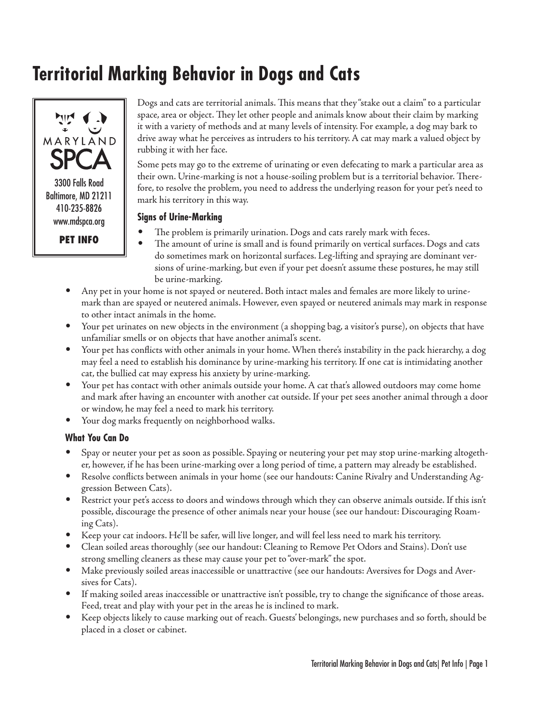# **Territorial Marking Behavior in Dogs and Cats**



Baltimore, MD 21211 410-235-8826 www.mdspca.org

**PET INFO**

Dogs and cats are territorial animals. This means that they "stake out a claim" to a particular space, area or object. They let other people and animals know about their claim by marking it with a variety of methods and at many levels of intensity. For example, a dog may bark to drive away what he perceives as intruders to his territory. A cat may mark a valued object by rubbing it with her face.

Some pets may go to the extreme of urinating or even defecating to mark a particular area as their own. Urine-marking is not a house-soiling problem but is a territorial behavior. Therefore, to resolve the problem, you need to address the underlying reason for your pet's need to mark his territory in this way.

## **Signs of Urine-Marking**

- The problem is primarily urination. Dogs and cats rarely mark with feces. •
- The amount of urine is small and is found primarily on vertical surfaces. Dogs and cats do sometimes mark on horizontal surfaces. Leg-lifting and spraying are dominant versions of urine-marking, but even if your pet doesn't assume these postures, he may still be urine-marking. •
- Any pet in your home is not spayed or neutered. Both intact males and females are more likely to urinemark than are spayed or neutered animals. However, even spayed or neutered animals may mark in response to other intact animals in the home. •
- Your pet urinates on new objects in the environment (a shopping bag, a visitor's purse), on objects that have unfamiliar smells or on objects that have another animal's scent.
- Your pet has conflicts with other animals in your home. When there's instability in the pack hierarchy, a dog may feel a need to establish his dominance by urine-marking his territory. If one cat is intimidating another cat, the bullied cat may express his anxiety by urine-marking.
- Your pet has contact with other animals outside your home. A cat that's allowed outdoors may come home and mark after having an encounter with another cat outside. If your pet sees another animal through a door or window, he may feel a need to mark his territory. •
- Your dog marks frequently on neighborhood walks. •

## **What You Can Do**

- Spay or neuter your pet as soon as possible. Spaying or neutering your pet may stop urine-marking altogether, however, if he has been urine-marking over a long period of time, a pattern may already be established. •
- Resolve conflicts between animals in your home (see our handouts: Canine Rivalry and Understanding Aggression Between Cats). •
- Restrict your pet's access to doors and windows through which they can observe animals outside. If this isn't possible, discourage the presence of other animals near your house (see our handout: Discouraging Roaming Cats). •
- Keep your cat indoors. He'll be safer, will live longer, and will feel less need to mark his territory. •
- Clean soiled areas thoroughly (see our handout: Cleaning to Remove Pet Odors and Stains). Don't use strong smelling cleaners as these may cause your pet to "over-mark" the spot.
- Make previously soiled areas inaccessible or unattractive (see our handouts: Aversives for Dogs and Aver-• sives for Cats).
- If making soiled areas inaccessible or unattractive isn't possible, try to change the significance of those areas. Feed, treat and play with your pet in the areas he is inclined to mark. •
- Keep objects likely to cause marking out of reach. Guests' belongings, new purchases and so forth, should be placed in a closet or cabinet. •